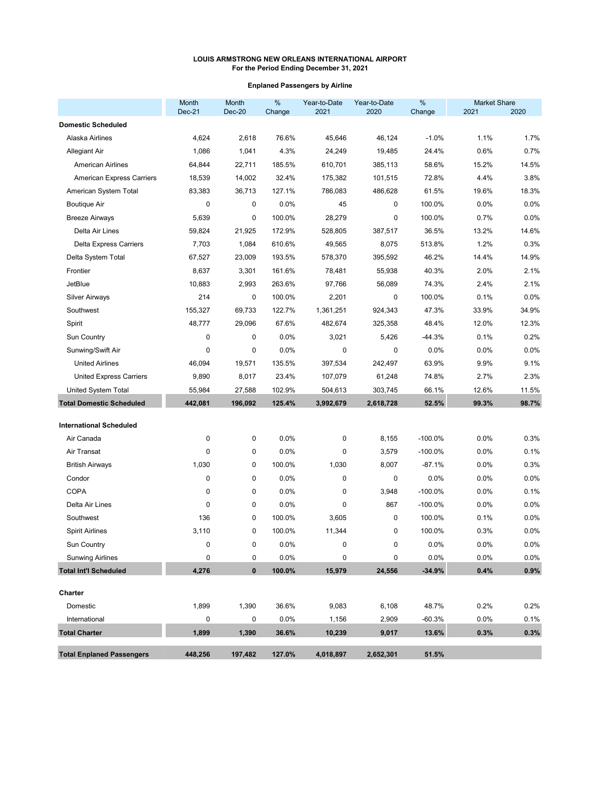## **Enplaned Passengers by Airline**

|                                  | Month<br>$Dec-21$ | Month<br>Dec-20 | $\%$<br>Change | Year-to-Date<br>2021 | Year-to-Date<br>2020 | $\%$<br>Change | <b>Market Share</b><br>2021 | 2020    |
|----------------------------------|-------------------|-----------------|----------------|----------------------|----------------------|----------------|-----------------------------|---------|
| <b>Domestic Scheduled</b>        |                   |                 |                |                      |                      |                |                             |         |
| Alaska Airlines                  | 4,624             | 2,618           | 76.6%          | 45,646               | 46,124               | $-1.0%$        | 1.1%                        | 1.7%    |
| <b>Allegiant Air</b>             | 1,086             | 1,041           | 4.3%           | 24,249               | 19,485               | 24.4%          | 0.6%                        | 0.7%    |
| <b>American Airlines</b>         | 64,844            | 22,711          | 185.5%         | 610,701              | 385,113              | 58.6%          | 15.2%                       | 14.5%   |
| <b>American Express Carriers</b> | 18,539            | 14,002          | 32.4%          | 175,382              | 101,515              | 72.8%          | 4.4%                        | 3.8%    |
| American System Total            | 83,383            | 36,713          | 127.1%         | 786,083              | 486,628              | 61.5%          | 19.6%                       | 18.3%   |
| <b>Boutique Air</b>              | $\mathbf 0$       | 0               | 0.0%           | 45                   | 0                    | 100.0%         | 0.0%                        | 0.0%    |
| <b>Breeze Airways</b>            | 5,639             | 0               | 100.0%         | 28,279               | 0                    | 100.0%         | 0.7%                        | 0.0%    |
| Delta Air Lines                  | 59,824            | 21,925          | 172.9%         | 528,805              | 387,517              | 36.5%          | 13.2%                       | 14.6%   |
| <b>Delta Express Carriers</b>    | 7,703             | 1,084           | 610.6%         | 49,565               | 8,075                | 513.8%         | 1.2%                        | 0.3%    |
| Delta System Total               | 67,527            | 23,009          | 193.5%         | 578,370              | 395,592              | 46.2%          | 14.4%                       | 14.9%   |
| Frontier                         | 8,637             | 3,301           | 161.6%         | 78,481               | 55,938               | 40.3%          | 2.0%                        | 2.1%    |
| <b>JetBlue</b>                   | 10,883            | 2,993           | 263.6%         | 97,766               | 56,089               | 74.3%          | 2.4%                        | 2.1%    |
| <b>Silver Airways</b>            | 214               | 0               | 100.0%         | 2,201                | 0                    | 100.0%         | 0.1%                        | 0.0%    |
| Southwest                        | 155,327           | 69,733          | 122.7%         | 1,361,251            | 924,343              | 47.3%          | 33.9%                       | 34.9%   |
| Spirit                           | 48,777            | 29,096          | 67.6%          | 482,674              | 325,358              | 48.4%          | 12.0%                       | 12.3%   |
| Sun Country                      | $\mathbf 0$       | 0               | 0.0%           | 3,021                | 5,426                | $-44.3%$       | 0.1%                        | 0.2%    |
| Sunwing/Swift Air                | 0                 | 0               | 0.0%           | 0                    | 0                    | 0.0%           | 0.0%                        | 0.0%    |
| <b>United Airlines</b>           | 46,094            | 19,571          | 135.5%         | 397,534              | 242,497              | 63.9%          | 9.9%                        | 9.1%    |
| <b>United Express Carriers</b>   | 9,890             | 8,017           | 23.4%          | 107,079              | 61,248               | 74.8%          | 2.7%                        | 2.3%    |
| United System Total              | 55,984            | 27,588          | 102.9%         | 504,613              | 303,745              | 66.1%          | 12.6%                       | 11.5%   |
| <b>Total Domestic Scheduled</b>  | 442,081           | 196,092         | 125.4%         | 3,992,679            | 2,618,728            | 52.5%          | 99.3%                       | 98.7%   |
| <b>International Scheduled</b>   |                   |                 |                |                      |                      |                |                             |         |
| Air Canada                       | $\mathbf 0$       | 0               | 0.0%           | 0                    | 8,155                | $-100.0%$      | 0.0%                        | 0.3%    |
| Air Transat                      | $\mathbf 0$       | 0               | 0.0%           | 0                    | 3,579                | $-100.0%$      | 0.0%                        | 0.1%    |
| <b>British Airways</b>           | 1,030             | 0               | 100.0%         | 1,030                | 8,007                | $-87.1%$       | 0.0%                        | 0.3%    |
| Condor                           | $\mathbf 0$       | 0               | 0.0%           | 0                    | 0                    | 0.0%           | 0.0%                        | 0.0%    |
| <b>COPA</b>                      | $\mathbf 0$       | 0               | 0.0%           | 0                    | 3,948                | $-100.0%$      | 0.0%                        | 0.1%    |
| Delta Air Lines                  | $\mathbf 0$       | 0               | 0.0%           | 0                    | 867                  | $-100.0%$      | 0.0%                        | 0.0%    |
| Southwest                        | 136               | 0               | 100.0%         | 3,605                | 0                    | 100.0%         | 0.1%                        | 0.0%    |
| <b>Spirit Airlines</b>           | 3,110             | 0               | 100.0%         | 11,344               | 0                    | 100.0%         | 0.3%                        | 0.0%    |
| Sun Country                      | 0                 | 0               | 0.0%           | $\mathbf 0$          | 0                    | 0.0%           | 0.0%                        | 0.0%    |
| <b>Sunwing Airlines</b>          | 0                 | 0               | 0.0%           | 0                    | 0                    | 0.0%           | 0.0%                        | $0.0\%$ |
| <b>Total Int'l Scheduled</b>     | 4,276             | $\pmb{0}$       | 100.0%         | 15,979               | 24,556               | $-34.9%$       | 0.4%                        | 0.9%    |
| Charter                          |                   |                 |                |                      |                      |                |                             |         |
| Domestic                         | 1,899             | 1,390           | 36.6%          | 9,083                | 6,108                | 48.7%          | 0.2%                        | 0.2%    |
| International                    | $\mathbf 0$       | 0               | 0.0%           | 1,156                | 2,909                | $-60.3%$       | 0.0%                        | 0.1%    |
| <b>Total Charter</b>             | 1,899             | 1,390           | 36.6%          | 10,239               | 9,017                | 13.6%          | 0.3%                        | 0.3%    |
| <b>Total Enplaned Passengers</b> | 448,256           | 197,482         | 127.0%         | 4,018,897            | 2,652,301            | 51.5%          |                             |         |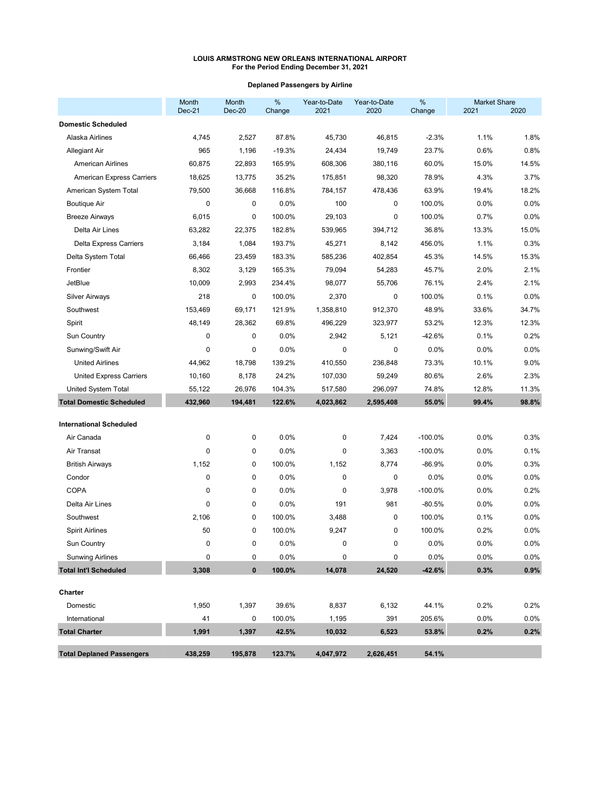# **Deplaned Passengers by Airline**

| <b>Domestic Scheduled</b><br>4,745<br>2,527<br>87.8%<br>45,730<br>46,815<br>$-2.3%$<br>1.1%<br>Alaska Airlines<br>23.7%<br>0.6%<br><b>Allegiant Air</b><br>965<br>1,196<br>$-19.3%$<br>24,434<br>19,749<br>60.0%<br>15.0%<br><b>American Airlines</b><br>60,875<br>22,893<br>165.9%<br>608,306<br>380,116<br>78.9%<br>4.3%<br><b>American Express Carriers</b><br>18,625<br>13,775<br>35.2%<br>175,851<br>98,320<br>American System Total<br>79,500<br>36,668<br>116.8%<br>784,157<br>478,436<br>63.9%<br>19.4%<br>$\mathbf 0$<br><b>Boutique Air</b><br>0<br>0.0%<br>100<br>0<br>100.0%<br>0.0%<br>0.7%<br><b>Breeze Airways</b><br>6,015<br>0<br>100.0%<br>29,103<br>0<br>100.0%<br>Delta Air Lines<br>63,282<br>22,375<br>182.8%<br>539,965<br>394,712<br>36.8%<br>13.3%<br>1.1%<br>3,184<br>1,084<br>193.7%<br>45,271<br>456.0%<br><b>Delta Express Carriers</b><br>8,142<br>Delta System Total<br>66,466<br>183.3%<br>585,236<br>402,854<br>45.3%<br>14.5%<br>23,459<br>8,302<br>2.0%<br>Frontier<br>3,129<br>165.3%<br>79,094<br>54,283<br>45.7%<br><b>JetBlue</b><br>10,009<br>2.4%<br>2,993<br>234.4%<br>98,077<br>55,706<br>76.1%<br><b>Silver Airways</b><br>218<br>0<br>100.0%<br>2,370<br>0<br>100.0%<br>0.1%<br>Southwest<br>153,469<br>69,171<br>121.9%<br>1,358,810<br>912,370<br>48.9%<br>33.6%<br>48,149<br>28,362<br>69.8%<br>496,229<br>53.2%<br>12.3%<br>Spirit<br>323,977<br>0.1%<br>Sun Country<br>0<br>0<br>0.0%<br>2,942<br>5,121<br>-42.6%<br>0<br>0<br>0.0%<br>0.0%<br>Sunwing/Swift Air<br>0.0%<br>0<br>0<br>73.3%<br>10.1%<br><b>United Airlines</b><br>44,962<br>139.2%<br>410,550<br>236,848<br>18,798<br>10,160<br>24.2%<br>80.6%<br>2.6%<br><b>United Express Carriers</b><br>8,178<br>107,030<br>59,249<br>74.8%<br>12.8%<br>United System Total<br>55,122<br>26,976<br>104.3%<br>517,580<br>296,097<br><b>Total Domestic Scheduled</b><br>55.0%<br>432,960<br>194,481<br>122.6%<br>4,023,862<br>2,595,408<br>99.4% | Month<br>Dec-21 | Month<br><b>Dec-20</b> | %<br>Change | Year-to-Date<br>2021 | Year-to-Date<br>2020 | %<br>Change | <b>Market Share</b><br>2021 | 2020    |
|------------------------------------------------------------------------------------------------------------------------------------------------------------------------------------------------------------------------------------------------------------------------------------------------------------------------------------------------------------------------------------------------------------------------------------------------------------------------------------------------------------------------------------------------------------------------------------------------------------------------------------------------------------------------------------------------------------------------------------------------------------------------------------------------------------------------------------------------------------------------------------------------------------------------------------------------------------------------------------------------------------------------------------------------------------------------------------------------------------------------------------------------------------------------------------------------------------------------------------------------------------------------------------------------------------------------------------------------------------------------------------------------------------------------------------------------------------------------------------------------------------------------------------------------------------------------------------------------------------------------------------------------------------------------------------------------------------------------------------------------------------------------------------------------------------------------------------------------------------------------------------------------------------------------------------------------------|-----------------|------------------------|-------------|----------------------|----------------------|-------------|-----------------------------|---------|
|                                                                                                                                                                                                                                                                                                                                                                                                                                                                                                                                                                                                                                                                                                                                                                                                                                                                                                                                                                                                                                                                                                                                                                                                                                                                                                                                                                                                                                                                                                                                                                                                                                                                                                                                                                                                                                                                                                                                                      |                 |                        |             |                      |                      |             |                             |         |
|                                                                                                                                                                                                                                                                                                                                                                                                                                                                                                                                                                                                                                                                                                                                                                                                                                                                                                                                                                                                                                                                                                                                                                                                                                                                                                                                                                                                                                                                                                                                                                                                                                                                                                                                                                                                                                                                                                                                                      |                 |                        |             |                      |                      |             |                             | 1.8%    |
|                                                                                                                                                                                                                                                                                                                                                                                                                                                                                                                                                                                                                                                                                                                                                                                                                                                                                                                                                                                                                                                                                                                                                                                                                                                                                                                                                                                                                                                                                                                                                                                                                                                                                                                                                                                                                                                                                                                                                      |                 |                        |             |                      |                      |             |                             | 0.8%    |
|                                                                                                                                                                                                                                                                                                                                                                                                                                                                                                                                                                                                                                                                                                                                                                                                                                                                                                                                                                                                                                                                                                                                                                                                                                                                                                                                                                                                                                                                                                                                                                                                                                                                                                                                                                                                                                                                                                                                                      |                 |                        |             |                      |                      |             |                             | 14.5%   |
|                                                                                                                                                                                                                                                                                                                                                                                                                                                                                                                                                                                                                                                                                                                                                                                                                                                                                                                                                                                                                                                                                                                                                                                                                                                                                                                                                                                                                                                                                                                                                                                                                                                                                                                                                                                                                                                                                                                                                      |                 |                        |             |                      |                      |             |                             | 3.7%    |
|                                                                                                                                                                                                                                                                                                                                                                                                                                                                                                                                                                                                                                                                                                                                                                                                                                                                                                                                                                                                                                                                                                                                                                                                                                                                                                                                                                                                                                                                                                                                                                                                                                                                                                                                                                                                                                                                                                                                                      |                 |                        |             |                      |                      |             |                             | 18.2%   |
|                                                                                                                                                                                                                                                                                                                                                                                                                                                                                                                                                                                                                                                                                                                                                                                                                                                                                                                                                                                                                                                                                                                                                                                                                                                                                                                                                                                                                                                                                                                                                                                                                                                                                                                                                                                                                                                                                                                                                      |                 |                        |             |                      |                      |             |                             | 0.0%    |
|                                                                                                                                                                                                                                                                                                                                                                                                                                                                                                                                                                                                                                                                                                                                                                                                                                                                                                                                                                                                                                                                                                                                                                                                                                                                                                                                                                                                                                                                                                                                                                                                                                                                                                                                                                                                                                                                                                                                                      |                 |                        |             |                      |                      |             |                             | 0.0%    |
|                                                                                                                                                                                                                                                                                                                                                                                                                                                                                                                                                                                                                                                                                                                                                                                                                                                                                                                                                                                                                                                                                                                                                                                                                                                                                                                                                                                                                                                                                                                                                                                                                                                                                                                                                                                                                                                                                                                                                      |                 |                        |             |                      |                      |             |                             | 15.0%   |
|                                                                                                                                                                                                                                                                                                                                                                                                                                                                                                                                                                                                                                                                                                                                                                                                                                                                                                                                                                                                                                                                                                                                                                                                                                                                                                                                                                                                                                                                                                                                                                                                                                                                                                                                                                                                                                                                                                                                                      |                 |                        |             |                      |                      |             |                             | 0.3%    |
|                                                                                                                                                                                                                                                                                                                                                                                                                                                                                                                                                                                                                                                                                                                                                                                                                                                                                                                                                                                                                                                                                                                                                                                                                                                                                                                                                                                                                                                                                                                                                                                                                                                                                                                                                                                                                                                                                                                                                      |                 |                        |             |                      |                      |             |                             | 15.3%   |
|                                                                                                                                                                                                                                                                                                                                                                                                                                                                                                                                                                                                                                                                                                                                                                                                                                                                                                                                                                                                                                                                                                                                                                                                                                                                                                                                                                                                                                                                                                                                                                                                                                                                                                                                                                                                                                                                                                                                                      |                 |                        |             |                      |                      |             |                             | 2.1%    |
|                                                                                                                                                                                                                                                                                                                                                                                                                                                                                                                                                                                                                                                                                                                                                                                                                                                                                                                                                                                                                                                                                                                                                                                                                                                                                                                                                                                                                                                                                                                                                                                                                                                                                                                                                                                                                                                                                                                                                      |                 |                        |             |                      |                      |             |                             | 2.1%    |
|                                                                                                                                                                                                                                                                                                                                                                                                                                                                                                                                                                                                                                                                                                                                                                                                                                                                                                                                                                                                                                                                                                                                                                                                                                                                                                                                                                                                                                                                                                                                                                                                                                                                                                                                                                                                                                                                                                                                                      |                 |                        |             |                      |                      |             |                             | 0.0%    |
|                                                                                                                                                                                                                                                                                                                                                                                                                                                                                                                                                                                                                                                                                                                                                                                                                                                                                                                                                                                                                                                                                                                                                                                                                                                                                                                                                                                                                                                                                                                                                                                                                                                                                                                                                                                                                                                                                                                                                      |                 |                        |             |                      |                      |             |                             | 34.7%   |
|                                                                                                                                                                                                                                                                                                                                                                                                                                                                                                                                                                                                                                                                                                                                                                                                                                                                                                                                                                                                                                                                                                                                                                                                                                                                                                                                                                                                                                                                                                                                                                                                                                                                                                                                                                                                                                                                                                                                                      |                 |                        |             |                      |                      |             |                             | 12.3%   |
|                                                                                                                                                                                                                                                                                                                                                                                                                                                                                                                                                                                                                                                                                                                                                                                                                                                                                                                                                                                                                                                                                                                                                                                                                                                                                                                                                                                                                                                                                                                                                                                                                                                                                                                                                                                                                                                                                                                                                      |                 |                        |             |                      |                      |             |                             | 0.2%    |
|                                                                                                                                                                                                                                                                                                                                                                                                                                                                                                                                                                                                                                                                                                                                                                                                                                                                                                                                                                                                                                                                                                                                                                                                                                                                                                                                                                                                                                                                                                                                                                                                                                                                                                                                                                                                                                                                                                                                                      |                 |                        |             |                      |                      |             |                             | 0.0%    |
|                                                                                                                                                                                                                                                                                                                                                                                                                                                                                                                                                                                                                                                                                                                                                                                                                                                                                                                                                                                                                                                                                                                                                                                                                                                                                                                                                                                                                                                                                                                                                                                                                                                                                                                                                                                                                                                                                                                                                      |                 |                        |             |                      |                      |             |                             | 9.0%    |
|                                                                                                                                                                                                                                                                                                                                                                                                                                                                                                                                                                                                                                                                                                                                                                                                                                                                                                                                                                                                                                                                                                                                                                                                                                                                                                                                                                                                                                                                                                                                                                                                                                                                                                                                                                                                                                                                                                                                                      |                 |                        |             |                      |                      |             |                             | 2.3%    |
|                                                                                                                                                                                                                                                                                                                                                                                                                                                                                                                                                                                                                                                                                                                                                                                                                                                                                                                                                                                                                                                                                                                                                                                                                                                                                                                                                                                                                                                                                                                                                                                                                                                                                                                                                                                                                                                                                                                                                      |                 |                        |             |                      |                      |             |                             | 11.3%   |
|                                                                                                                                                                                                                                                                                                                                                                                                                                                                                                                                                                                                                                                                                                                                                                                                                                                                                                                                                                                                                                                                                                                                                                                                                                                                                                                                                                                                                                                                                                                                                                                                                                                                                                                                                                                                                                                                                                                                                      |                 |                        |             |                      |                      |             |                             | 98.8%   |
| <b>International Scheduled</b>                                                                                                                                                                                                                                                                                                                                                                                                                                                                                                                                                                                                                                                                                                                                                                                                                                                                                                                                                                                                                                                                                                                                                                                                                                                                                                                                                                                                                                                                                                                                                                                                                                                                                                                                                                                                                                                                                                                       |                 |                        |             |                      |                      |             |                             |         |
| Air Canada<br>0<br>0<br>0.0%<br>0<br>7,424<br>$-100.0\%$<br>$0.0\%$                                                                                                                                                                                                                                                                                                                                                                                                                                                                                                                                                                                                                                                                                                                                                                                                                                                                                                                                                                                                                                                                                                                                                                                                                                                                                                                                                                                                                                                                                                                                                                                                                                                                                                                                                                                                                                                                                  |                 |                        |             |                      |                      |             |                             | 0.3%    |
| $\mathbf 0$<br>0<br>0.0%<br>0.0%<br>Air Transat<br>0<br>3,363<br>$-100.0\%$                                                                                                                                                                                                                                                                                                                                                                                                                                                                                                                                                                                                                                                                                                                                                                                                                                                                                                                                                                                                                                                                                                                                                                                                                                                                                                                                                                                                                                                                                                                                                                                                                                                                                                                                                                                                                                                                          |                 |                        |             |                      |                      |             |                             | 0.1%    |
| 0.0%<br><b>British Airways</b><br>1,152<br>0<br>100.0%<br>1,152<br>8,774<br>$-86.9%$                                                                                                                                                                                                                                                                                                                                                                                                                                                                                                                                                                                                                                                                                                                                                                                                                                                                                                                                                                                                                                                                                                                                                                                                                                                                                                                                                                                                                                                                                                                                                                                                                                                                                                                                                                                                                                                                 |                 |                        |             |                      |                      |             |                             | 0.3%    |
| $\mathbf 0$<br>0<br>0<br>0.0%<br>0.0%<br>Condor<br>0.0%<br>0                                                                                                                                                                                                                                                                                                                                                                                                                                                                                                                                                                                                                                                                                                                                                                                                                                                                                                                                                                                                                                                                                                                                                                                                                                                                                                                                                                                                                                                                                                                                                                                                                                                                                                                                                                                                                                                                                         |                 |                        |             |                      |                      |             |                             | 0.0%    |
| <b>COPA</b><br>$\mathbf 0$<br>0<br>0.0%<br>0<br>0.0%<br>3,978<br>$-100.0%$                                                                                                                                                                                                                                                                                                                                                                                                                                                                                                                                                                                                                                                                                                                                                                                                                                                                                                                                                                                                                                                                                                                                                                                                                                                                                                                                                                                                                                                                                                                                                                                                                                                                                                                                                                                                                                                                           |                 |                        |             |                      |                      |             |                             | 0.2%    |
| $\mathbf 0$<br>0.0%<br>Delta Air Lines<br>0<br>191<br>981<br>$-80.5%$<br>0.0%                                                                                                                                                                                                                                                                                                                                                                                                                                                                                                                                                                                                                                                                                                                                                                                                                                                                                                                                                                                                                                                                                                                                                                                                                                                                                                                                                                                                                                                                                                                                                                                                                                                                                                                                                                                                                                                                        |                 |                        |             |                      |                      |             |                             | 0.0%    |
| 0.1%<br>Southwest<br>2,106<br>0<br>100.0%<br>3,488<br>0<br>100.0%                                                                                                                                                                                                                                                                                                                                                                                                                                                                                                                                                                                                                                                                                                                                                                                                                                                                                                                                                                                                                                                                                                                                                                                                                                                                                                                                                                                                                                                                                                                                                                                                                                                                                                                                                                                                                                                                                    |                 |                        |             |                      |                      |             |                             | 0.0%    |
| 50<br><b>Spirit Airlines</b><br>0<br>100.0%<br>9,247<br>0<br>100.0%<br>0.2%                                                                                                                                                                                                                                                                                                                                                                                                                                                                                                                                                                                                                                                                                                                                                                                                                                                                                                                                                                                                                                                                                                                                                                                                                                                                                                                                                                                                                                                                                                                                                                                                                                                                                                                                                                                                                                                                          |                 |                        |             |                      |                      |             |                             | 0.0%    |
| 0<br>0.0%<br>0.0%<br>0.0%<br>Sun Country<br>0                                                                                                                                                                                                                                                                                                                                                                                                                                                                                                                                                                                                                                                                                                                                                                                                                                                                                                                                                                                                                                                                                                                                                                                                                                                                                                                                                                                                                                                                                                                                                                                                                                                                                                                                                                                                                                                                                                        |                 |                        |             |                      |                      |             |                             | 0.0%    |
| $\mathbf 0$<br>0.0%<br>0.0%<br>0.0%<br><b>Sunwing Airlines</b><br>0<br>0<br>0                                                                                                                                                                                                                                                                                                                                                                                                                                                                                                                                                                                                                                                                                                                                                                                                                                                                                                                                                                                                                                                                                                                                                                                                                                                                                                                                                                                                                                                                                                                                                                                                                                                                                                                                                                                                                                                                        |                 |                        |             |                      |                      |             |                             | $0.0\%$ |
| <b>Total Int'l Scheduled</b><br>$\pmb{0}$<br>$-42.6%$<br>0.3%<br>3,308<br>100.0%<br>14,078<br>24,520                                                                                                                                                                                                                                                                                                                                                                                                                                                                                                                                                                                                                                                                                                                                                                                                                                                                                                                                                                                                                                                                                                                                                                                                                                                                                                                                                                                                                                                                                                                                                                                                                                                                                                                                                                                                                                                 |                 |                        |             |                      |                      |             |                             | 0.9%    |
| Charter                                                                                                                                                                                                                                                                                                                                                                                                                                                                                                                                                                                                                                                                                                                                                                                                                                                                                                                                                                                                                                                                                                                                                                                                                                                                                                                                                                                                                                                                                                                                                                                                                                                                                                                                                                                                                                                                                                                                              |                 |                        |             |                      |                      |             |                             |         |
| 1,950<br>8,837<br>44.1%<br>0.2%<br>Domestic<br>1,397<br>39.6%<br>6,132                                                                                                                                                                                                                                                                                                                                                                                                                                                                                                                                                                                                                                                                                                                                                                                                                                                                                                                                                                                                                                                                                                                                                                                                                                                                                                                                                                                                                                                                                                                                                                                                                                                                                                                                                                                                                                                                               |                 |                        |             |                      |                      |             |                             | 0.2%    |
| 41<br>0<br>100.0%<br>1,195<br>391<br>205.6%<br>0.0%<br>International                                                                                                                                                                                                                                                                                                                                                                                                                                                                                                                                                                                                                                                                                                                                                                                                                                                                                                                                                                                                                                                                                                                                                                                                                                                                                                                                                                                                                                                                                                                                                                                                                                                                                                                                                                                                                                                                                 |                 |                        |             |                      |                      |             |                             | 0.0%    |
| 53.8%<br><b>Total Charter</b><br>1,991<br>1,397<br>42.5%<br>10,032<br>0.2%<br>6,523                                                                                                                                                                                                                                                                                                                                                                                                                                                                                                                                                                                                                                                                                                                                                                                                                                                                                                                                                                                                                                                                                                                                                                                                                                                                                                                                                                                                                                                                                                                                                                                                                                                                                                                                                                                                                                                                  |                 |                        |             |                      |                      |             |                             | 0.2%    |
| <b>Total Deplaned Passengers</b><br>438,259<br>54.1%<br>195,878<br>123.7%<br>4,047,972<br>2,626,451                                                                                                                                                                                                                                                                                                                                                                                                                                                                                                                                                                                                                                                                                                                                                                                                                                                                                                                                                                                                                                                                                                                                                                                                                                                                                                                                                                                                                                                                                                                                                                                                                                                                                                                                                                                                                                                  |                 |                        |             |                      |                      |             |                             |         |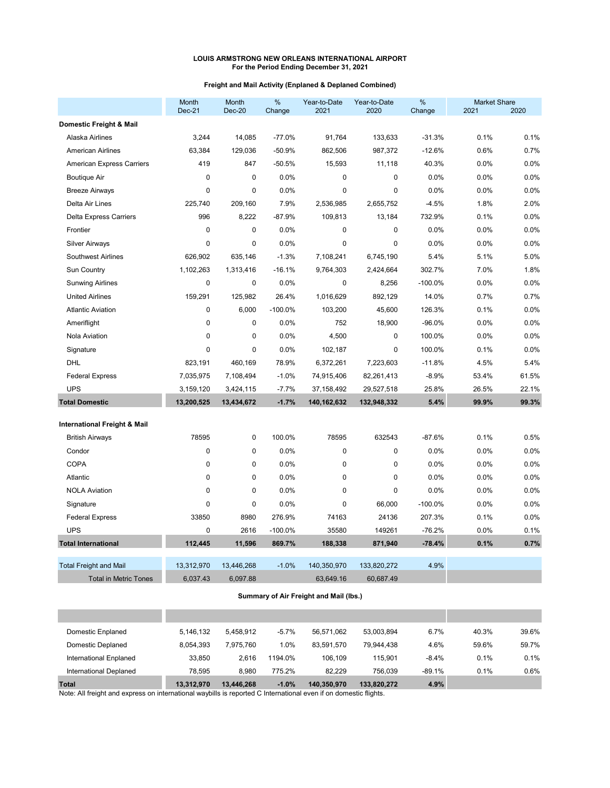## **Freight and Mail Activity (Enplaned & Deplaned Combined)**

|                                         | Month<br>$Dec-21$ | Month<br>$Dec-20$ | %<br>Change | Year-to-Date<br>2021 | Year-to-Date<br>2020 | %<br>Change | <b>Market Share</b><br>2021 | 2020  |
|-----------------------------------------|-------------------|-------------------|-------------|----------------------|----------------------|-------------|-----------------------------|-------|
| Domestic Freight & Mail                 |                   |                   |             |                      |                      |             |                             |       |
| Alaska Airlines                         | 3,244             | 14,085            | $-77.0%$    | 91,764               | 133,633              | $-31.3%$    | 0.1%                        | 0.1%  |
| <b>American Airlines</b>                | 63,384            | 129,036           | $-50.9%$    | 862,506              | 987,372              | $-12.6%$    | 0.6%                        | 0.7%  |
| American Express Carriers               | 419               | 847               | $-50.5%$    | 15,593               | 11,118               | 40.3%       | 0.0%                        | 0.0%  |
| <b>Boutique Air</b>                     | $\mathbf{0}$      | 0                 | 0.0%        | $\pmb{0}$            | 0                    | 0.0%        | 0.0%                        | 0.0%  |
| <b>Breeze Airways</b>                   | $\mathbf{0}$      | 0                 | 0.0%        | $\mathbf 0$          | 0                    | 0.0%        | 0.0%                        | 0.0%  |
| Delta Air Lines                         | 225,740           | 209,160           | 7.9%        | 2,536,985            | 2,655,752            | $-4.5%$     | 1.8%                        | 2.0%  |
| <b>Delta Express Carriers</b>           | 996               | 8.222             | $-87.9%$    | 109,813              | 13,184               | 732.9%      | 0.1%                        | 0.0%  |
| Frontier                                | $\Omega$          | 0                 | 0.0%        | $\pmb{0}$            | $\pmb{0}$            | 0.0%        | 0.0%                        | 0.0%  |
| <b>Silver Airways</b>                   | $\mathbf 0$       | 0                 | 0.0%        | $\mathbf 0$          | 0                    | 0.0%        | 0.0%                        | 0.0%  |
| <b>Southwest Airlines</b>               | 626,902           | 635,146           | $-1.3%$     | 7,108,241            | 6,745,190            | 5.4%        | 5.1%                        | 5.0%  |
| <b>Sun Country</b>                      | 1,102,263         | 1,313,416         | $-16.1%$    | 9,764,303            | 2,424,664            | 302.7%      | 7.0%                        | 1.8%  |
| <b>Sunwing Airlines</b>                 | $\mathbf 0$       | 0                 | 0.0%        | $\mathbf 0$          | 8,256                | $-100.0%$   | 0.0%                        | 0.0%  |
| <b>United Airlines</b>                  | 159,291           | 125,982           | 26.4%       | 1,016,629            | 892,129              | 14.0%       | 0.7%                        | 0.7%  |
| <b>Atlantic Aviation</b>                | $\mathbf 0$       | 6,000             | $-100.0%$   | 103,200              | 45,600               | 126.3%      | 0.1%                        | 0.0%  |
| Ameriflight                             | $\pmb{0}$         | 0                 | 0.0%        | 752                  | 18,900               | $-96.0%$    | 0.0%                        | 0.0%  |
| Nola Aviation                           | $\mathbf 0$       | 0                 | 0.0%        | 4,500                | $\pmb{0}$            | 100.0%      | 0.0%                        | 0.0%  |
| Signature                               | $\mathbf 0$       | 0                 | 0.0%        | 102,187              | $\mathbf 0$          | 100.0%      | 0.1%                        | 0.0%  |
| DHL                                     | 823,191           | 460,169           | 78.9%       | 6,372,261            | 7,223,603            | $-11.8%$    | 4.5%                        | 5.4%  |
| <b>Federal Express</b>                  | 7,035,975         | 7,108,494         | $-1.0%$     | 74,915,406           | 82,261,413           | $-8.9%$     | 53.4%                       | 61.5% |
| <b>UPS</b>                              | 3,159,120         | 3,424,115         | $-7.7%$     | 37, 158, 492         | 29,527,518           | 25.8%       | 26.5%                       | 22.1% |
| <b>Total Domestic</b>                   | 13,200,525        | 13,434,672        | $-1.7%$     | 140,162,632          | 132,948,332          | 5.4%        | 99.9%                       | 99.3% |
| <b>International Freight &amp; Mail</b> |                   |                   |             |                      |                      |             |                             |       |
| <b>British Airways</b>                  | 78595             | 0                 | 100.0%      | 78595                | 632543               | $-87.6%$    | 0.1%                        | 0.5%  |
| Condor                                  | $\mathbf{0}$      | 0                 | 0.0%        | 0                    | $\mathbf 0$          | 0.0%        | 0.0%                        | 0.0%  |
| <b>COPA</b>                             | $\mathbf 0$       | 0                 | 0.0%        | $\mathbf 0$          | $\mathbf 0$          | 0.0%        | 0.0%                        | 0.0%  |
| Atlantic                                | $\mathbf 0$       | 0                 | 0.0%        | $\mathbf 0$          | $\mathbf 0$          | 0.0%        | 0.0%                        | 0.0%  |
| <b>NOLA Aviation</b>                    | $\Omega$          | 0                 | 0.0%        | $\Omega$             | 0                    | 0.0%        | 0.0%                        | 0.0%  |
| Signature                               | $\mathbf 0$       | 0                 | 0.0%        | $\mathbf 0$          | 66,000               | $-100.0%$   | 0.0%                        | 0.0%  |
| <b>Federal Express</b>                  | 33850             | 8980              | 276.9%      | 74163                | 24136                | 207.3%      | 0.1%                        | 0.0%  |
| <b>UPS</b>                              | $\mathbf{0}$      | 2616              | $-100.0%$   | 35580                | 149261               | $-76.2%$    | 0.0%                        | 0.1%  |
| <b>Total International</b>              | 112,445           | 11,596            | 869.7%      | 188,338              | 871,940              | $-78.4%$    | 0.1%                        | 0.7%  |
| <b>Total Freight and Mail</b>           | 13,312,970        | 13,446,268        | $-1.0%$     | 140,350,970          | 133,820,272          | 4.9%        |                             |       |
| <b>Total in Metric Tones</b>            | 6,037.43          | 6,097.88          |             | 63,649.16            | 60,687.49            |             |                             |       |

## **Summary of Air Freight and Mail (lbs.)**

| <b>Total</b>           | 13.312.970 | 13.446.268 | $-1.0%$ | 140,350,970 | 133.820.272 | 4.9%     |       |       |
|------------------------|------------|------------|---------|-------------|-------------|----------|-------|-------|
| International Deplaned | 78.595     | 8.980      | 775.2%  | 82.229      | 756.039     | $-89.1%$ | 0.1%  | 0.6%  |
| International Enplaned | 33.850     | 2.616      | 1194.0% | 106.109     | 115.901     | $-8.4%$  | 0.1%  | 0.1%  |
| Domestic Deplaned      | 8.054.393  | 7.975.760  | 1.0%    | 83.591.570  | 79.944.438  | 4.6%     | 59.6% | 59.7% |
| Domestic Enplaned      | 5.146.132  | 5.458.912  | $-5.7%$ | 56.571.062  | 53.003.894  | 6.7%     | 40.3% | 39.6% |
|                        |            |            |         |             |             |          |       |       |
|                        |            |            |         |             |             |          |       |       |

Note: All freight and express on international waybills is reported C International even if on domestic flights.